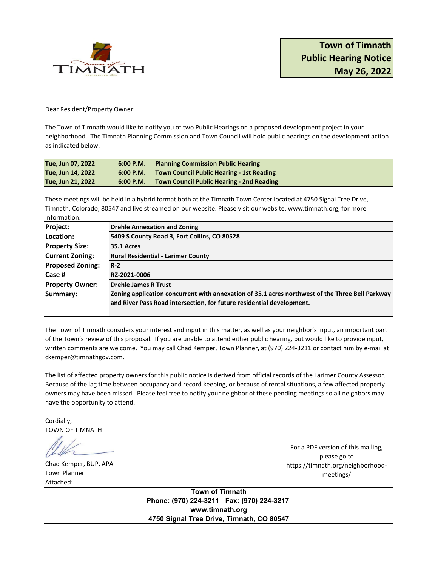

Dear Resident/Property Owner:

The Town of Timnath would like to notify you of two Public Hearings on a proposed development project in your neighborhood. The Timnath Planning Commission and Town Council will hold public hearings on the development action as indicated below.

| Tue, Jun 07, 2022 |           | 6:00 P.M. Planning Commission Public Hearing        |
|-------------------|-----------|-----------------------------------------------------|
| Tue, Jun 14, 2022 |           | 6:00 P.M. Town Council Public Hearing - 1st Reading |
| Tue, Jun 21, 2022 | 6:00 P.M. | <b>Town Council Public Hearing - 2nd Reading</b>    |

These meetings will be held in a hybrid format both at the Timnath Town Center located at 4750 Signal Tree Drive, Timnath, Colorado, 80547 and live streamed on our website. Please visit our website, www.timnath.org, for more information.

| <b>Project:</b>         | <b>Drehle Annexation and Zoning</b>                                                             |  |  |
|-------------------------|-------------------------------------------------------------------------------------------------|--|--|
| Location:               | 5409 S County Road 3, Fort Collins, CO 80528                                                    |  |  |
| <b>Property Size:</b>   | 35.1 Acres                                                                                      |  |  |
| <b>Current Zoning:</b>  | <b>Rural Residential - Larimer County</b>                                                       |  |  |
| <b>Proposed Zoning:</b> | $R-2$                                                                                           |  |  |
| <b>Case #</b>           | RZ-2021-0006                                                                                    |  |  |
| <b>Property Owner:</b>  | <b>Drehle James R Trust</b>                                                                     |  |  |
| Summary:                | Zoning application concurrent with annexation of 35.1 acres northwest of the Three Bell Parkway |  |  |
|                         | and River Pass Road intersection, for future residential development.                           |  |  |

The Town of Timnath considers your interest and input in this matter, as well as your neighbor's input, an important part of the Town's review of this proposal. If you are unable to attend either public hearing, but would like to provide input, written comments are welcome. You may call Chad Kemper, Town Planner, at (970) 224-3211 or contact him by e-mail at ckemper@timnathgov.com.

The list of affected property owners for this public notice is derived from official records of the Larimer County Assessor. Because of the lag time between occupancy and record keeping, or because of rental situations, a few affected property owners may have been missed. Please feel free to notify your neighbor of these pending meetings so all neighbors may have the opportunity to attend.

Cordially, TOWN OF TIMNATH

Chad Kemper, BUP, APA Town Planner Attached:

For a PDF version of this mailing, please go to https://timnath.org/neighborhoodmeetings/

**Town of Timnath Phone: (970) 224-3211 Fax: (970) 224-3217 www.timnath.org 4750 Signal Tree Drive, Timnath, CO 80547**